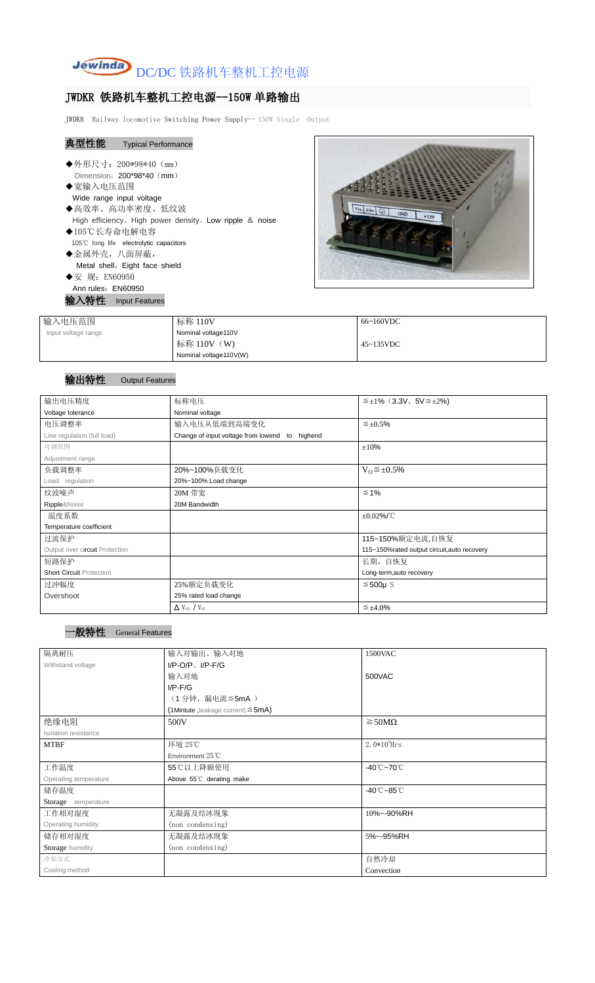

## JWDKR 铁路机车整机工控电源--150W 单路输出

JWDKR Railway locomotive Switching Power Supply-- 150W Single Output

| 典型性能               | <b>Typical Performance</b>                                |  |
|--------------------|-----------------------------------------------------------|--|
|                    | ◆外形尺寸: 200*98*40 (mm)                                     |  |
|                    | Dimension: $200*98*40$ (mm)                               |  |
| ◆宽输入电压范围           |                                                           |  |
|                    | Wide range input voltage                                  |  |
|                    | ◆高效率、高功率密度、低纹波                                            |  |
|                    | High efficiency, High power density, Low ripple $&$ noise |  |
| ◆105℃长寿命电解电容       |                                                           |  |
|                    | 105°C long life electrolytic capacitors                   |  |
| ◆金属外壳,八面屏蔽,        |                                                           |  |
|                    | Metal shell, Eight face shield                            |  |
| ◆安 规: EN60950      |                                                           |  |
| Ann rules: EN60950 |                                                           |  |
|                    | 特性 Input Features                                         |  |
|                    |                                                           |  |



| 输入电压范围              | 标称 110V                | 66~160VDC         |
|---------------------|------------------------|-------------------|
| Input voltage range | Nominal voltage110V    |                   |
|                     | 标称 110V (W)            | $45 \sim 135$ VDC |
|                     | Nominal voltage110V(W) |                   |

## 输出特性 Output Features

| 输出电压精度                          | 标称电压                                           | $\leq \pm 1\%$ (3.3V, 5V $\leq \pm 2\%$ )   |  |
|---------------------------------|------------------------------------------------|---------------------------------------------|--|
| Voltage tolerance               | Nominal voltage                                |                                             |  |
| 电压调整率                           | 输入电压从低端到高端变化                                   | $\leq \pm 0.5\%$                            |  |
| Line regulation (full load)     | Change of input voltage from lowend to highend |                                             |  |
| 可调范围                            |                                                | ±10%                                        |  |
| Adjustment range                |                                                |                                             |  |
| 负载调整率                           | 20%~100%负载变化                                   | $V_0 \leq \pm 0.5\%$                        |  |
| Load regulation                 | 20%~100% Load change                           |                                             |  |
| 纹波噪声                            | 20M 带宽                                         | $\leq 1\%$                                  |  |
| Ripple&Noise                    | 20M Bandwidth                                  |                                             |  |
| 温度系数                            |                                                | $\pm 0.02\%$ /°C                            |  |
| Temperature coefficient         |                                                |                                             |  |
| 过流保护                            |                                                | 115~150%额定电流,自恢复                            |  |
| Output over circuit Protection  |                                                | 115~150%rated output circuit, auto recovery |  |
| 短路保护                            |                                                | 长期, 自恢复                                     |  |
| <b>Short Circuit Protection</b> |                                                | Long-term, auto recovery                    |  |
| 过冲幅度                            | 25%额定负载变化                                      | $≤500µ$ S                                   |  |
| Overshoot                       | 25% rated load change                          |                                             |  |
|                                 | $\Delta$ V <sub>01</sub> /V <sub>01</sub>      | $\leq \pm 4.0\%$                            |  |

| 隔离耐压                  | 输入对输出、输入对地                              | 1500VAC                         |  |  |
|-----------------------|-----------------------------------------|---------------------------------|--|--|
| Withstand voltage     | $I/P$ -O/P, $I/P$ -F/G                  |                                 |  |  |
|                       | 输入对地                                    | 500VAC                          |  |  |
|                       | $I/P$ - $F/G$                           |                                 |  |  |
|                       | (1分钟,漏电流≦5mA)                           |                                 |  |  |
|                       | (1Mintute, leakage current) $\leq$ 5mA) |                                 |  |  |
| 绝缘电阻                  | 500V                                    | $\geq$ 50M $\Omega$             |  |  |
| Isolation resistance  |                                         |                                 |  |  |
| <b>MTBF</b>           | 环境 25℃                                  | $2.0*105$ Hrs                   |  |  |
|                       | Environment 25°C                        |                                 |  |  |
| 工作温度                  | 55℃以上降额使用                               | $-40^{\circ}$ C $-70^{\circ}$ C |  |  |
| Operating temperature | Above 55°C derating make                |                                 |  |  |
| 储存温度                  |                                         | $-40^{\circ}$ C $-85^{\circ}$ C |  |  |
| Storage temperature   |                                         |                                 |  |  |
| 工作相对湿度                | 无凝露及结冰现象                                | 10%~-90%RH                      |  |  |
| Operating humidity    | (non condensing)                        |                                 |  |  |
| 储存相对湿度                | 无凝露及结冰现象                                | 5%~-95%RH                       |  |  |
| Storage humidity      | (non condensing)                        |                                 |  |  |
| 冷却方式                  |                                         | 自然冷却                            |  |  |
| Cooling method        |                                         | Convection                      |  |  |